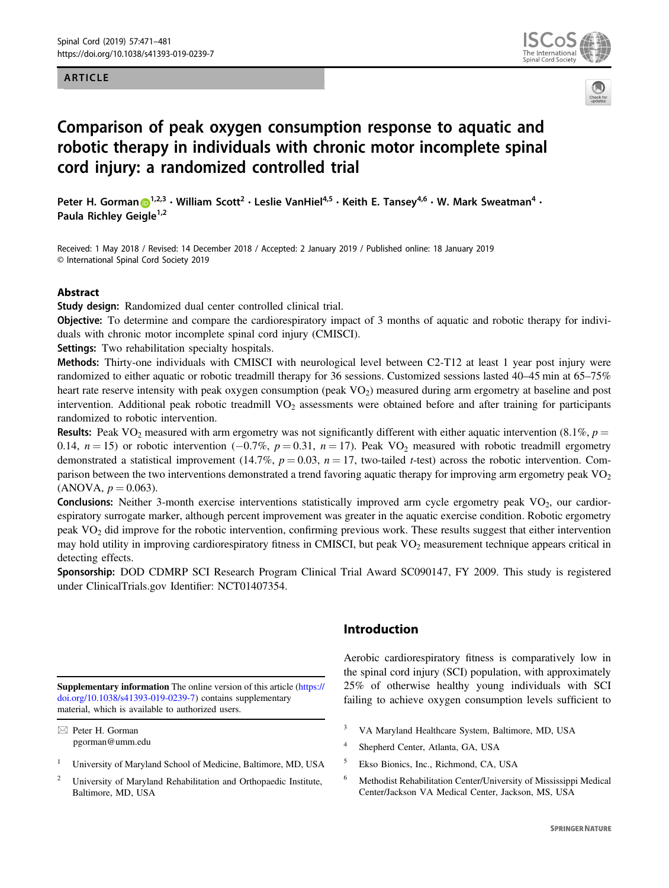# ARTICLE





# Comparison of peak oxygen consumption response to aquatic and robotic therapy in individuals with chronic motor incomplete spinal cord injury: a randomized controlled trial

Peter H. Gorman **[1](http://orcid.org/0000-0002-3483-1369)967 of Step**<br>Paula Richley Geigle<sup>1,2</sup> william Scott  $\cdot$  Leslie VanHiel  $\cdots$  Neith E. Tansey  $\cdots$  w. Mark Sweatman  $\cdot$ Paula Richley Geigle<sup>1</sup>,

Received: 1 May 2018 / Revised: 14 December 2018 / Accepted: 2 January 2019 / Published online: 18 January 2019 © International Spinal Cord Society 2019

### Abstract

Study design: Randomized dual center controlled clinical trial.

Objective: To determine and compare the cardiorespiratory impact of 3 months of aquatic and robotic therapy for individuals with chronic motor incomplete spinal cord injury (CMISCI).

Settings: Two rehabilitation specialty hospitals.

Methods: Thirty-one individuals with CMISCI with neurological level between C2-T12 at least 1 year post injury were randomized to either aquatic or robotic treadmill therapy for 36 sessions. Customized sessions lasted 40–45 min at 65–75% heart rate reserve intensity with peak oxygen consumption (peak VO<sub>2</sub>) measured during arm ergometry at baseline and post intervention. Additional peak robotic treadmill  $VO<sub>2</sub>$  assessments were obtained before and after training for participants randomized to robotic intervention.

**Results:** Peak VO<sub>2</sub> measured with arm ergometry was not significantly different with either aquatic intervention (8.1%,  $p =$ 0.14,  $n = 15$ ) or robotic intervention (-0.7%,  $p = 0.31$ ,  $n = 17$ ). Peak VO<sub>2</sub> measured with robotic treadmill ergometry demonstrated a statistical improvement (14.7%,  $p = 0.03$ ,  $n = 17$ , two-tailed t-test) across the robotic intervention. Comparison between the two interventions demonstrated a trend favoring aquatic therapy for improving arm ergometry peak  $VO<sub>2</sub>$  $(ANOVA, p = 0.063).$ 

**Conclusions:** Neither 3-month exercise interventions statistically improved arm cycle ergometry peak  $VO<sub>2</sub>$ , our cardiorespiratory surrogate marker, although percent improvement was greater in the aquatic exercise condition. Robotic ergometry peak VO2 did improve for the robotic intervention, confirming previous work. These results suggest that either intervention may hold utility in improving cardiorespiratory fitness in CMISCI, but peak  $VO<sub>2</sub>$  measurement technique appears critical in detecting effects.

Sponsorship: DOD CDMRP SCI Research Program Clinical Trial Award SC090147, FY 2009. This study is registered under ClinicalTrials.gov Identifier: NCT01407354.

Supplementary information The online version of this article ([https://](https://doi.org/10.1038/s41393-019-0239-7) [doi.org/10.1038/s41393-019-0239-7\)](https://doi.org/10.1038/s41393-019-0239-7) contains supplementary material, which is available to authorized users.

 $\boxtimes$  Peter H. Gorman [pgorman@umm.edu](mailto:pgorman@umm.edu)

- <sup>1</sup> University of Maryland School of Medicine, Baltimore, MD, USA
- <sup>2</sup> University of Maryland Rehabilitation and Orthopaedic Institute, Baltimore, MD, USA

# Introduction

Aerobic cardiorespiratory fitness is comparatively low in the spinal cord injury (SCI) population, with approximately 25% of otherwise healthy young individuals with SCI failing to achieve oxygen consumption levels sufficient to

- <sup>3</sup> VA Maryland Healthcare System, Baltimore, MD, USA
- <sup>4</sup> Shepherd Center, Atlanta, GA, USA
- <sup>5</sup> Ekso Bionics, Inc., Richmond, CA, USA
- <sup>6</sup> Methodist Rehabilitation Center/University of Mississippi Medical Center/Jackson VA Medical Center, Jackson, MS, USA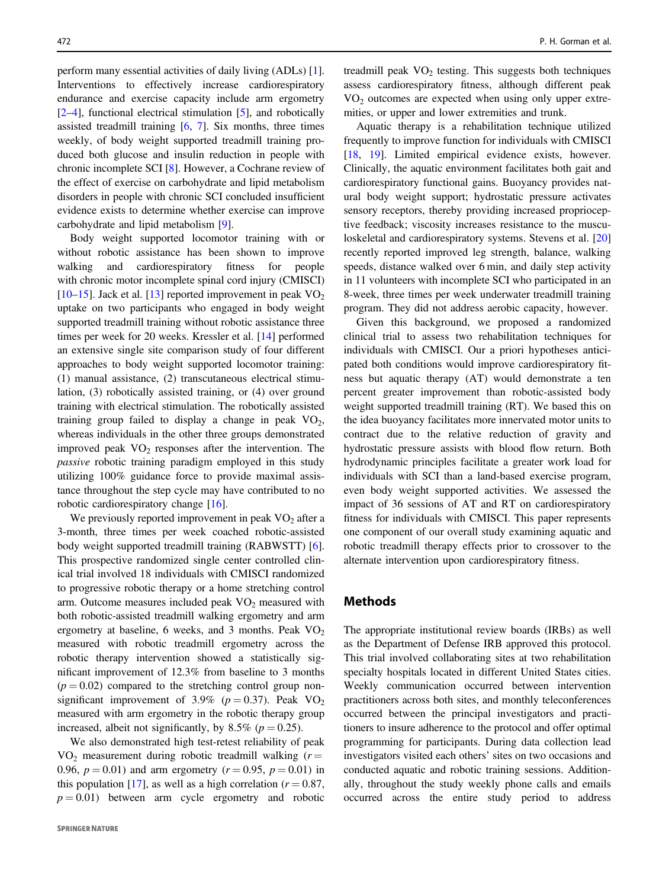perform many essential activities of daily living (ADLs) [\[1](#page-9-0)]. Interventions to effectively increase cardiorespiratory endurance and exercise capacity include arm ergometry [\[2](#page-9-0)–[4](#page-9-0)], functional electrical stimulation [[5\]](#page-9-0), and robotically assisted treadmill training  $[6, 7]$  $[6, 7]$  $[6, 7]$  $[6, 7]$ . Six months, three times weekly, of body weight supported treadmill training produced both glucose and insulin reduction in people with chronic incomplete SCI [\[8](#page-9-0)]. However, a Cochrane review of the effect of exercise on carbohydrate and lipid metabolism disorders in people with chronic SCI concluded insufficient evidence exists to determine whether exercise can improve carbohydrate and lipid metabolism [[9\]](#page-9-0).

Body weight supported locomotor training with or without robotic assistance has been shown to improve walking and cardiorespiratory fitness for people with chronic motor incomplete spinal cord injury (CMISCI) [\[10](#page-9-0)–[15](#page-9-0)]. Jack et al. [[13\]](#page-9-0) reported improvement in peak  $VO<sub>2</sub>$ uptake on two participants who engaged in body weight supported treadmill training without robotic assistance three times per week for 20 weeks. Kressler et al. [\[14](#page-9-0)] performed an extensive single site comparison study of four different approaches to body weight supported locomotor training: (1) manual assistance, (2) transcutaneous electrical stimulation, (3) robotically assisted training, or (4) over ground training with electrical stimulation. The robotically assisted training group failed to display a change in peak  $VO<sub>2</sub>$ , whereas individuals in the other three groups demonstrated improved peak  $VO<sub>2</sub>$  responses after the intervention. The passive robotic training paradigm employed in this study utilizing 100% guidance force to provide maximal assistance throughout the step cycle may have contributed to no robotic cardiorespiratory change [[16\]](#page-9-0).

We previously reported improvement in peak  $VO<sub>2</sub>$  after a 3-month, three times per week coached robotic-assisted body weight supported treadmill training (RABWSTT) [\[6](#page-9-0)]. This prospective randomized single center controlled clinical trial involved 18 individuals with CMISCI randomized to progressive robotic therapy or a home stretching control arm. Outcome measures included peak  $VO<sub>2</sub>$  measured with both robotic-assisted treadmill walking ergometry and arm ergometry at baseline, 6 weeks, and 3 months. Peak  $VO<sub>2</sub>$ measured with robotic treadmill ergometry across the robotic therapy intervention showed a statistically significant improvement of 12.3% from baseline to 3 months  $(p = 0.02)$  compared to the stretching control group nonsignificant improvement of 3.9% ( $p = 0.37$ ). Peak VO<sub>2</sub> measured with arm ergometry in the robotic therapy group increased, albeit not significantly, by 8.5% ( $p = 0.25$ ).

We also demonstrated high test-retest reliability of peak  $VO<sub>2</sub>$  measurement during robotic treadmill walking ( $r =$ 0.96,  $p = 0.01$ ) and arm ergometry ( $r = 0.95$ ,  $p = 0.01$ ) in this population [[17\]](#page-9-0), as well as a high correlation ( $r = 0.87$ ,  $p = 0.01$ ) between arm cycle ergometry and robotic

treadmill peak  $VO<sub>2</sub>$  testing. This suggests both techniques assess cardiorespiratory fitness, although different peak  $VO<sub>2</sub>$  outcomes are expected when using only upper extremities, or upper and lower extremities and trunk.

Aquatic therapy is a rehabilitation technique utilized frequently to improve function for individuals with CMISCI [\[18](#page-9-0), [19\]](#page-9-0). Limited empirical evidence exists, however. Clinically, the aquatic environment facilitates both gait and cardiorespiratory functional gains. Buoyancy provides natural body weight support; hydrostatic pressure activates sensory receptors, thereby providing increased proprioceptive feedback; viscosity increases resistance to the musculoskeletal and cardiorespiratory systems. Stevens et al. [\[20](#page-9-0)] recently reported improved leg strength, balance, walking speeds, distance walked over 6 min, and daily step activity in 11 volunteers with incomplete SCI who participated in an 8-week, three times per week underwater treadmill training program. They did not address aerobic capacity, however.

Given this background, we proposed a randomized clinical trial to assess two rehabilitation techniques for individuals with CMISCI. Our a priori hypotheses anticipated both conditions would improve cardiorespiratory fitness but aquatic therapy (AT) would demonstrate a ten percent greater improvement than robotic-assisted body weight supported treadmill training (RT). We based this on the idea buoyancy facilitates more innervated motor units to contract due to the relative reduction of gravity and hydrostatic pressure assists with blood flow return. Both hydrodynamic principles facilitate a greater work load for individuals with SCI than a land-based exercise program, even body weight supported activities. We assessed the impact of 36 sessions of AT and RT on cardiorespiratory fitness for individuals with CMISCI. This paper represents one component of our overall study examining aquatic and robotic treadmill therapy effects prior to crossover to the alternate intervention upon cardiorespiratory fitness.

# Methods

The appropriate institutional review boards (IRBs) as well as the Department of Defense IRB approved this protocol. This trial involved collaborating sites at two rehabilitation specialty hospitals located in different United States cities. Weekly communication occurred between intervention practitioners across both sites, and monthly teleconferences occurred between the principal investigators and practitioners to insure adherence to the protocol and offer optimal programming for participants. During data collection lead investigators visited each others' sites on two occasions and conducted aquatic and robotic training sessions. Additionally, throughout the study weekly phone calls and emails occurred across the entire study period to address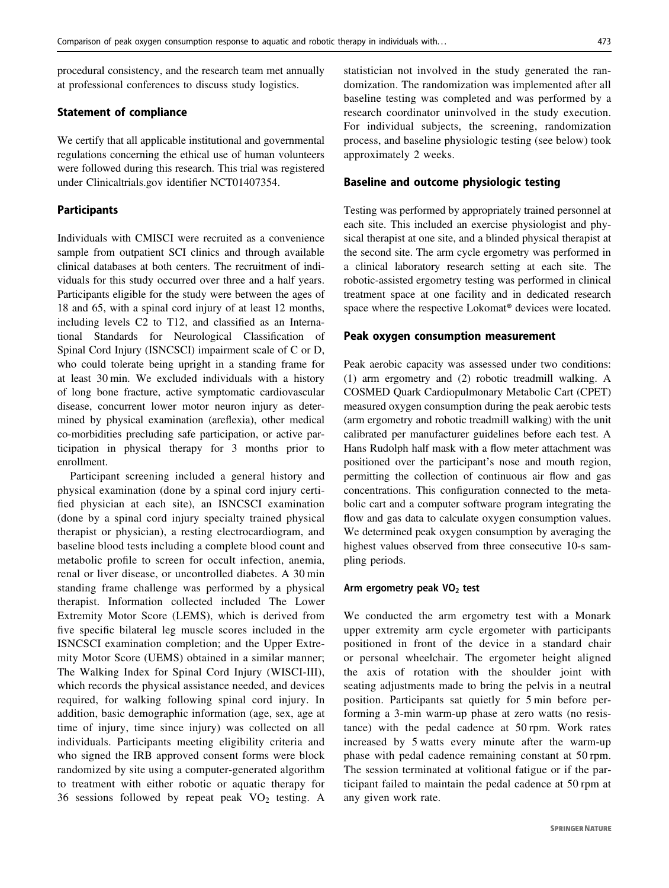procedural consistency, and the research team met annually at professional conferences to discuss study logistics.

### Statement of compliance

We certify that all applicable institutional and governmental regulations concerning the ethical use of human volunteers were followed during this research. This trial was registered under Clinicaltrials.gov identifier NCT01407354.

# **Participants**

Individuals with CMISCI were recruited as a convenience sample from outpatient SCI clinics and through available clinical databases at both centers. The recruitment of individuals for this study occurred over three and a half years. Participants eligible for the study were between the ages of 18 and 65, with a spinal cord injury of at least 12 months, including levels C2 to T12, and classified as an International Standards for Neurological Classification of Spinal Cord Injury (ISNCSCI) impairment scale of C or D, who could tolerate being upright in a standing frame for at least 30 min. We excluded individuals with a history of long bone fracture, active symptomatic cardiovascular disease, concurrent lower motor neuron injury as determined by physical examination (areflexia), other medical co-morbidities precluding safe participation, or active participation in physical therapy for 3 months prior to enrollment.

Participant screening included a general history and physical examination (done by a spinal cord injury certified physician at each site), an ISNCSCI examination (done by a spinal cord injury specialty trained physical therapist or physician), a resting electrocardiogram, and baseline blood tests including a complete blood count and metabolic profile to screen for occult infection, anemia, renal or liver disease, or uncontrolled diabetes. A 30 min standing frame challenge was performed by a physical therapist. Information collected included The Lower Extremity Motor Score (LEMS), which is derived from five specific bilateral leg muscle scores included in the ISNCSCI examination completion; and the Upper Extremity Motor Score (UEMS) obtained in a similar manner; The Walking Index for Spinal Cord Injury (WISCI-III), which records the physical assistance needed, and devices required, for walking following spinal cord injury. In addition, basic demographic information (age, sex, age at time of injury, time since injury) was collected on all individuals. Participants meeting eligibility criteria and who signed the IRB approved consent forms were block randomized by site using a computer-generated algorithm to treatment with either robotic or aquatic therapy for 36 sessions followed by repeat peak  $VO<sub>2</sub>$  testing. A statistician not involved in the study generated the randomization. The randomization was implemented after all baseline testing was completed and was performed by a research coordinator uninvolved in the study execution. For individual subjects, the screening, randomization process, and baseline physiologic testing (see below) took approximately 2 weeks.

# Baseline and outcome physiologic testing

Testing was performed by appropriately trained personnel at each site. This included an exercise physiologist and physical therapist at one site, and a blinded physical therapist at the second site. The arm cycle ergometry was performed in a clinical laboratory research setting at each site. The robotic-assisted ergometry testing was performed in clinical treatment space at one facility and in dedicated research space where the respective Lokomat® devices were located.

## Peak oxygen consumption measurement

Peak aerobic capacity was assessed under two conditions: (1) arm ergometry and (2) robotic treadmill walking. A COSMED Quark Cardiopulmonary Metabolic Cart (CPET) measured oxygen consumption during the peak aerobic tests (arm ergometry and robotic treadmill walking) with the unit calibrated per manufacturer guidelines before each test. A Hans Rudolph half mask with a flow meter attachment was positioned over the participant's nose and mouth region, permitting the collection of continuous air flow and gas concentrations. This configuration connected to the metabolic cart and a computer software program integrating the flow and gas data to calculate oxygen consumption values. We determined peak oxygen consumption by averaging the highest values observed from three consecutive 10-s sampling periods.

# Arm ergometry peak  $VO<sub>2</sub>$  test

We conducted the arm ergometry test with a Monark upper extremity arm cycle ergometer with participants positioned in front of the device in a standard chair or personal wheelchair. The ergometer height aligned the axis of rotation with the shoulder joint with seating adjustments made to bring the pelvis in a neutral position. Participants sat quietly for 5 min before performing a 3-min warm-up phase at zero watts (no resistance) with the pedal cadence at 50 rpm. Work rates increased by 5 watts every minute after the warm-up phase with pedal cadence remaining constant at 50 rpm. The session terminated at volitional fatigue or if the participant failed to maintain the pedal cadence at 50 rpm at any given work rate.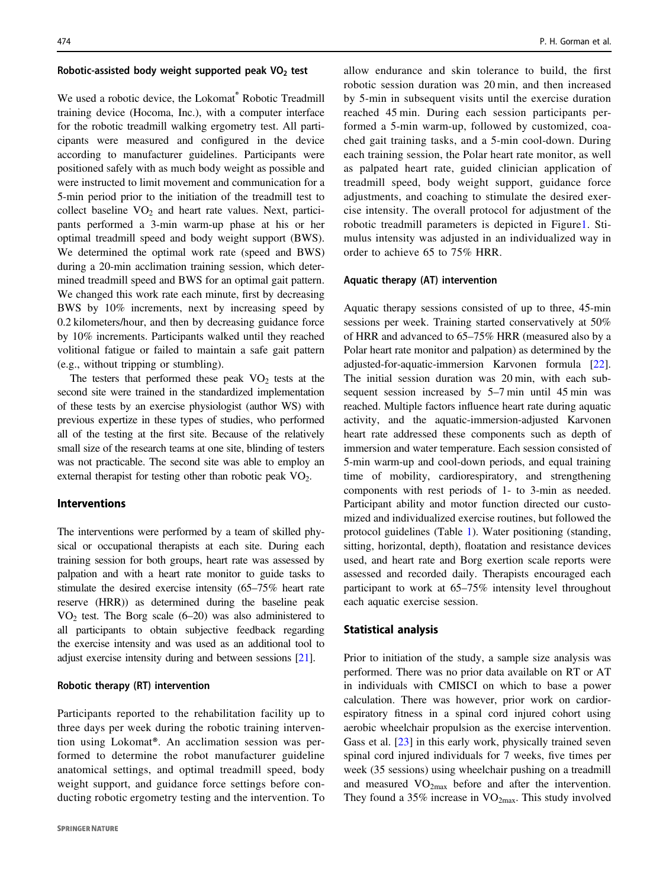#### Robotic-assisted body weight supported peak  $VO<sub>2</sub>$  test

We used a robotic device, the Lokomat<sup>®</sup> Robotic Treadmill training device (Hocoma, Inc.), with a computer interface for the robotic treadmill walking ergometry test. All participants were measured and configured in the device according to manufacturer guidelines. Participants were positioned safely with as much body weight as possible and were instructed to limit movement and communication for a 5-min period prior to the initiation of the treadmill test to collect baseline  $VO<sub>2</sub>$  and heart rate values. Next, participants performed a 3-min warm-up phase at his or her optimal treadmill speed and body weight support (BWS). We determined the optimal work rate (speed and BWS) during a 20-min acclimation training session, which determined treadmill speed and BWS for an optimal gait pattern. We changed this work rate each minute, first by decreasing BWS by 10% increments, next by increasing speed by 0.2 kilometers/hour, and then by decreasing guidance force by 10% increments. Participants walked until they reached volitional fatigue or failed to maintain a safe gait pattern (e.g., without tripping or stumbling).

The testers that performed these peak  $VO<sub>2</sub>$  tests at the second site were trained in the standardized implementation of these tests by an exercise physiologist (author WS) with previous expertize in these types of studies, who performed all of the testing at the first site. Because of the relatively small size of the research teams at one site, blinding of testers was not practicable. The second site was able to employ an external therapist for testing other than robotic peak  $VO<sub>2</sub>$ .

## Interventions

The interventions were performed by a team of skilled physical or occupational therapists at each site. During each training session for both groups, heart rate was assessed by palpation and with a heart rate monitor to guide tasks to stimulate the desired exercise intensity (65–75% heart rate reserve (HRR)) as determined during the baseline peak  $VO<sub>2</sub>$  test. The Borg scale (6–20) was also administered to all participants to obtain subjective feedback regarding the exercise intensity and was used as an additional tool to adjust exercise intensity during and between sessions [[21](#page-9-0)].

#### Robotic therapy (RT) intervention

Participants reported to the rehabilitation facility up to three days per week during the robotic training intervention using Lokomat®. An acclimation session was performed to determine the robot manufacturer guideline anatomical settings, and optimal treadmill speed, body weight support, and guidance force settings before conducting robotic ergometry testing and the intervention. To allow endurance and skin tolerance to build, the first robotic session duration was 20 min, and then increased by 5-min in subsequent visits until the exercise duration reached 45 min. During each session participants performed a 5-min warm-up, followed by customized, coached gait training tasks, and a 5-min cool-down. During each training session, the Polar heart rate monitor, as well as palpated heart rate, guided clinician application of treadmill speed, body weight support, guidance force adjustments, and coaching to stimulate the desired exercise intensity. The overall protocol for adjustment of the robotic treadmill parameters is depicted in Figure[1.](#page-4-0) Stimulus intensity was adjusted in an individualized way in order to achieve 65 to 75% HRR.

#### Aquatic therapy (AT) intervention

Aquatic therapy sessions consisted of up to three, 45-min sessions per week. Training started conservatively at 50% of HRR and advanced to 65–75% HRR (measured also by a Polar heart rate monitor and palpation) as determined by the adjusted-for-aquatic-immersion Karvonen formula [[22\]](#page-9-0). The initial session duration was 20 min, with each subsequent session increased by 5–7 min until 45 min was reached. Multiple factors influence heart rate during aquatic activity, and the aquatic-immersion-adjusted Karvonen heart rate addressed these components such as depth of immersion and water temperature. Each session consisted of 5-min warm-up and cool-down periods, and equal training time of mobility, cardiorespiratory, and strengthening components with rest periods of 1- to 3-min as needed. Participant ability and motor function directed our customized and individualized exercise routines, but followed the protocol guidelines (Table [1](#page-5-0)). Water positioning (standing, sitting, horizontal, depth), floatation and resistance devices used, and heart rate and Borg exertion scale reports were assessed and recorded daily. Therapists encouraged each participant to work at 65–75% intensity level throughout each aquatic exercise session.

#### Statistical analysis

Prior to initiation of the study, a sample size analysis was performed. There was no prior data available on RT or AT in individuals with CMISCI on which to base a power calculation. There was however, prior work on cardiorespiratory fitness in a spinal cord injured cohort using aerobic wheelchair propulsion as the exercise intervention. Gass et al. [\[23](#page-9-0)] in this early work, physically trained seven spinal cord injured individuals for 7 weeks, five times per week (35 sessions) using wheelchair pushing on a treadmill and measured  $VO<sub>2max</sub>$  before and after the intervention. They found a 35% increase in  $VO_{2max}$ . This study involved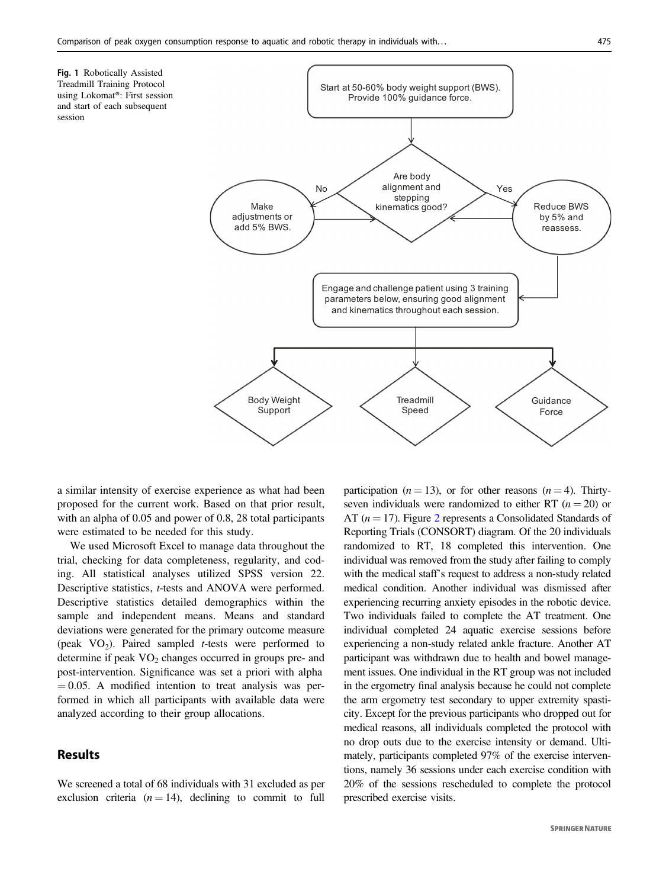<span id="page-4-0"></span>

a similar intensity of exercise experience as what had been proposed for the current work. Based on that prior result, with an alpha of 0.05 and power of 0.8, 28 total participants were estimated to be needed for this study.

We used Microsoft Excel to manage data throughout the trial, checking for data completeness, regularity, and coding. All statistical analyses utilized SPSS version 22. Descriptive statistics, t-tests and ANOVA were performed. Descriptive statistics detailed demographics within the sample and independent means. Means and standard deviations were generated for the primary outcome measure (peak  $VO_2$ ). Paired sampled *t*-tests were performed to determine if peak  $VO<sub>2</sub>$  changes occurred in groups pre- and post-intervention. Significance was set a priori with alpha  $= 0.05$ . A modified intention to treat analysis was performed in which all participants with available data were analyzed according to their group allocations.

# **Results**

We screened a total of 68 individuals with 31 excluded as per exclusion criteria  $(n = 14)$ , declining to commit to full

participation ( $n = 13$ ), or for other reasons ( $n = 4$ ). Thirtyseven individuals were randomized to either RT ( $n = 20$ ) or AT  $(n = 17)$ . Figure [2](#page-5-0) represents a Consolidated Standards of Reporting Trials (CONSORT) diagram. Of the 20 individuals randomized to RT, 18 completed this intervention. One individual was removed from the study after failing to comply with the medical staff's request to address a non-study related medical condition. Another individual was dismissed after experiencing recurring anxiety episodes in the robotic device. Two individuals failed to complete the AT treatment. One individual completed 24 aquatic exercise sessions before experiencing a non-study related ankle fracture. Another AT participant was withdrawn due to health and bowel management issues. One individual in the RT group was not included in the ergometry final analysis because he could not complete the arm ergometry test secondary to upper extremity spasticity. Except for the previous participants who dropped out for medical reasons, all individuals completed the protocol with no drop outs due to the exercise intensity or demand. Ultimately, participants completed 97% of the exercise interventions, namely 36 sessions under each exercise condition with 20% of the sessions rescheduled to complete the protocol prescribed exercise visits.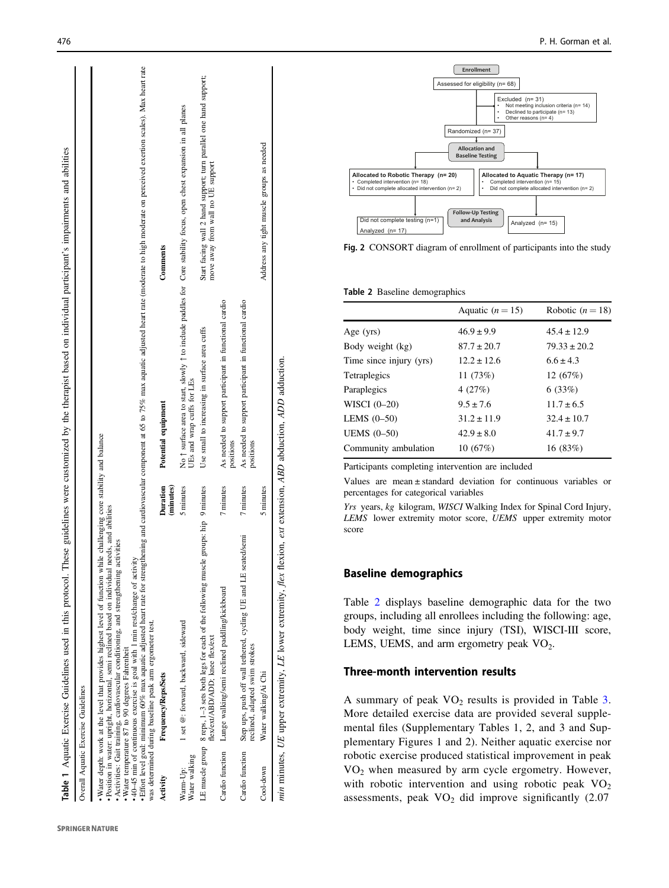<span id="page-5-0"></span>

|                           | <b>Table 1</b> Aquatic Exercise Guidelines used in this protocol. These guidelines were customized by the therapist based on individual participant's impairments and abilities                                                                                                                                                                                                                                                                                                                                                                                                                                                                                                                                                                            |                       |                                                                                                                                                                      |                                                                                                        |
|---------------------------|------------------------------------------------------------------------------------------------------------------------------------------------------------------------------------------------------------------------------------------------------------------------------------------------------------------------------------------------------------------------------------------------------------------------------------------------------------------------------------------------------------------------------------------------------------------------------------------------------------------------------------------------------------------------------------------------------------------------------------------------------------|-----------------------|----------------------------------------------------------------------------------------------------------------------------------------------------------------------|--------------------------------------------------------------------------------------------------------|
|                           | Overall Aquatic Exercise Guidelines                                                                                                                                                                                                                                                                                                                                                                                                                                                                                                                                                                                                                                                                                                                        |                       |                                                                                                                                                                      |                                                                                                        |
|                           | • Effort level goal: minimum 60% max aquatic adjusted heart rate for strengthening and cardiovascular component at 65 to 75% max aquatic adjusted heart rate (moderate to high moderate on perceived exertion scales). Max hea<br>• Water depth: work at the level that provides highest level of function while challenging core stability and balance<br>· Position in water: upright, horizontal, semi reclined based on individual needs, and abilities<br>Activities: Gait training, cardiovascular conditioning, and strengthening activities<br>$\bullet$ 40–45 min of continuous exercise is goal with 1 min rest/change of activity<br>was determined during baseline peak arm ergometer test.<br>• Water temperature 87 to 90 degrees Fahrenheit |                       |                                                                                                                                                                      |                                                                                                        |
| Activity                  | Frequency/Reps/Sets                                                                                                                                                                                                                                                                                                                                                                                                                                                                                                                                                                                                                                                                                                                                        | Duration<br>(minutes) | Potential equipment                                                                                                                                                  | Comments                                                                                               |
| Water walking<br>Warm-Up: | 1 set @: forward, backward, sideward                                                                                                                                                                                                                                                                                                                                                                                                                                                                                                                                                                                                                                                                                                                       | 5 minutes             | No $\uparrow$ surface area to start, slowly $\uparrow$ to include paddles for Core stability focus, open chest expansion in all planes<br>UEs and wrap cuffs for LEs |                                                                                                        |
|                           | LE muscle group 8 reps, 1-3 sets both legs for each of the following muscle groups: hip 9 minutes<br>flex/ext/ABD/ADD; knee flex/ext                                                                                                                                                                                                                                                                                                                                                                                                                                                                                                                                                                                                                       |                       | Use small to increasing in surface area cuffs                                                                                                                        | Start facing wall 2 hand support; turn parallel one hand support;<br>move away from wall no UE support |
|                           | Cardio function Lunge walking/semi reclined paddling/kickboard                                                                                                                                                                                                                                                                                                                                                                                                                                                                                                                                                                                                                                                                                             | 7 minutes             | As needed to support participant in functional cardio<br>positions                                                                                                   |                                                                                                        |
| Cardio function           | Step ups, push off wall tethered, cycling UE and LE seated/semi<br>reclined, adapted swim strokes                                                                                                                                                                                                                                                                                                                                                                                                                                                                                                                                                                                                                                                          | 7 minutes             | As needed to support participant in functional cardio<br>positions                                                                                                   |                                                                                                        |
| Cool-down                 | Water walking/Ai Chi                                                                                                                                                                                                                                                                                                                                                                                                                                                                                                                                                                                                                                                                                                                                       | 5 minutes             |                                                                                                                                                                      | Address any tight muscle groups as needed                                                              |
|                           | min minutes, UE upper extremity, LE lower extremity, flex flexion, ext extension, ABD abduction, ADD adduction.                                                                                                                                                                                                                                                                                                                                                                                                                                                                                                                                                                                                                                            |                       |                                                                                                                                                                      |                                                                                                        |



Fig. 2 CONSORT diagram of enrollment of participants into the study

#### Table 2 Baseline demographics

|                         | Aquatic $(n = 15)$ | Robotic $(n = 18)$ |
|-------------------------|--------------------|--------------------|
| Age (yrs)               | $46.9 \pm 9.9$     | $45.4 \pm 12.9$    |
| Body weight (kg)        | $87.7 \pm 20.7$    | $79.33 \pm 20.2$   |
| Time since injury (yrs) | $12.2 \pm 12.6$    | $6.6 \pm 4.3$      |
| Tetraplegics            | 11 $(73%)$         | 12 (67%)           |
| Paraplegics             | 4(27%)             | 6(33%)             |
| WISCI $(0-20)$          | $9.5 \pm 7.6$      | $11.7 \pm 6.5$     |
| LEMS (0-50)             | $31.2 \pm 11.9$    | $32.4 \pm 10.7$    |
| UEMS (0-50)             | $42.9 \pm 8.0$     | $41.7 \pm 9.7$     |
| Community ambulation    | 10(67%)            | 16(83%)            |
|                         |                    |                    |

Participants completing intervention are included

Values are mean ± standard deviation for continuous variables or percentages for categorical variables

Yrs years, kg kilogram, WISCI Walking Index for Spinal Cord Injury, LEMS lower extremity motor score, UEMS upper extremity motor score

#### Baseline demographics

Table 2 displays baseline demographic data for the two groups, including all enrollees including the following: age, body weight, time since injury (TSI), WISCI-III score, LEMS, UEMS, and arm ergometry peak VO<sub>2</sub>.

#### Three-month intervention results

A summary of peak VO <sup>2</sup> results is provided in Table [3](#page-6-0) . More detailed exercise data are provided several supplemental files (Supplementary Tables 1, 2, and 3 and Supplementary Figures 1 and 2). Neither aquatic exercise nor robotic exercise produced statistical improvement in peak VO <sup>2</sup> when measured by arm cycle ergometry. However, with robotic intervention and using robotic peak  $VO<sub>2</sub>$ assessments, peak  $VO<sub>2</sub>$  did improve significantly (2.07)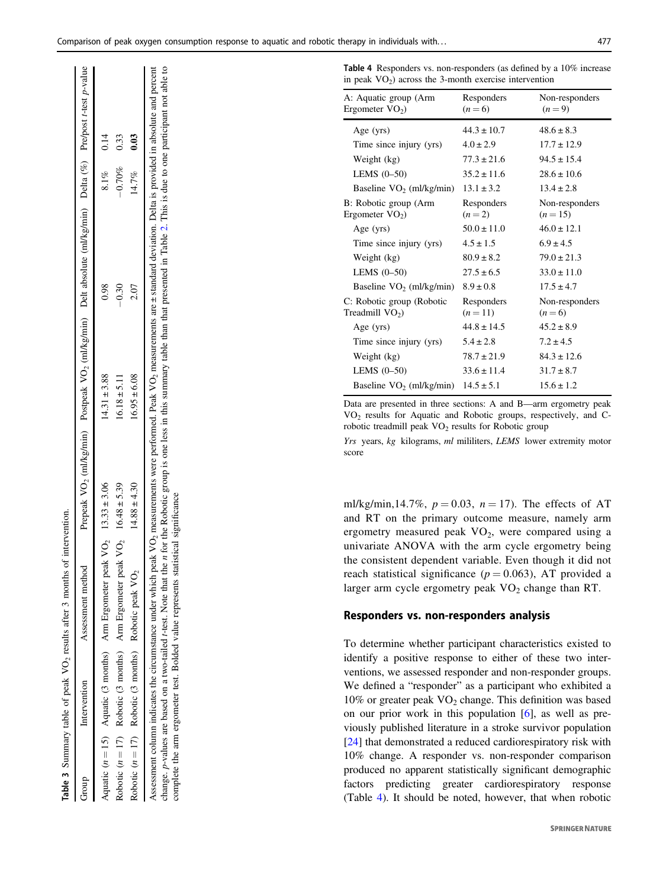<span id="page-6-0"></span>

| quori | Intervention                                                       | Assessment method                                                                                                                                                                                                                                                                                                                                                                                                             |                  | Prepeak VO <sub>2</sub> (ml/kg/min) Postpeak VO <sub>2</sub> (ml/kg/min) Delt absolute (ml/kg/min) Delta (%) Pre/post t-test p-value |         |          |      |
|-------|--------------------------------------------------------------------|-------------------------------------------------------------------------------------------------------------------------------------------------------------------------------------------------------------------------------------------------------------------------------------------------------------------------------------------------------------------------------------------------------------------------------|------------------|--------------------------------------------------------------------------------------------------------------------------------------|---------|----------|------|
|       |                                                                    | Aquatic ( $n = 15$ ) Aquatic (3 months) Arm Ergometer peak VO <sub>2</sub> 13.33 ± 3.06                                                                                                                                                                                                                                                                                                                                       |                  | $14.31 \pm 3.88$                                                                                                                     |         | $8.1\%$  |      |
|       |                                                                    | Robotic ( $n = 17$ ) Robotic (3 months) Arm Ergometer peak $\sqrt{O_2}$ 16.48 ± 5.39                                                                                                                                                                                                                                                                                                                                          |                  | $16.18 \pm 5.11$                                                                                                                     | $-0.30$ | $-0.70%$ |      |
|       | Robotic $(n = 17)$ Robotic (3 months) Robotic peak VO <sub>2</sub> |                                                                                                                                                                                                                                                                                                                                                                                                                               | $14.88 \pm 4.30$ | $16.95 \pm 6.08$                                                                                                                     | 2.07    | 14.7%    | 0.03 |
|       |                                                                    | assessment column indicates the circumstance under which peak VO <sub>2</sub> measurements were performed. Peak VO <sub>2</sub> measurements are $\pm$ standard deviation. Delta is provided in absolute and percent<br>thange, p-values are based on a two-tailed r-test. Note that the n for the Robotic group is one less in this summary table than that presented in Table 2. This is due to one participant not able to |                  |                                                                                                                                      |         |          |      |

complete the arm ergometer test. Bolded value represents statistical significance

complete the arm ergometer test. Bolded value represents statistical significance

Table 3 Summary table of peak  $VO<sub>2</sub>$  results after 3 months of intervention.

Summary table of peak  $VO<sub>2</sub>$  results after 3 months of intervention.

Table 4 Responders vs. non-responders (as defined by a 10% increase in peak  $VO<sub>2</sub>$ ) across the 3-month exercise intervention

| A: Aquatic group (Arm<br>Ergometer $VO2$ )     | Responders<br>$(n=6)$   | Non-responders<br>$(n=9)$   |
|------------------------------------------------|-------------------------|-----------------------------|
| Age $(yrs)$                                    | $44.3 \pm 10.7$         | $48.6 \pm 8.3$              |
| Time since injury (yrs)                        | $4.0 \pm 2.9$           | $17.7 \pm 12.9$             |
| Weight (kg)                                    | $77.3 \pm 21.6$         | $94.5 \pm 15.4$             |
| LEMS $(0-50)$                                  | $35.2 \pm 11.6$         | $28.6 \pm 10.6$             |
| Baseline $VO_2$ (ml/kg/min)                    | $13.1 \pm 3.2$          | $13.4 \pm 2.8$              |
| B: Robotic group (Arm<br>Ergometer $VO2$ )     | Responders<br>$(n = 2)$ | Non-responders<br>$(n=15)$  |
| Age $(yrs)$                                    | $50.0 \pm 11.0$         | $46.0 \pm 12.1$             |
| Time since injury (yrs)                        | $4.5 \pm 1.5$           | $6.9 \pm 4.5$               |
| Weight (kg)                                    | $80.9 \pm 8.2$          | $79.0 \pm 21.3$             |
| LEMS $(0-50)$                                  | $27.5 \pm 6.5$          | $33.0 \pm 11.0$             |
| Baseline $VO_2$ (ml/kg/min)                    | $8.9 \pm 0.8$           | $17.5 \pm 4.7$              |
| C: Robotic group (Robotic<br>Treadmill $VO2$ ) | Responders<br>$(n=11)$  | Non-responders<br>$(n = 6)$ |
| Age $(yrs)$                                    | $44.8 \pm 14.5$         | $45.2 \pm 8.9$              |
| Time since injury (yrs)                        | $5.4 \pm 2.8$           | $7.2 \pm 4.5$               |
| Weight (kg)                                    | $78.7 \pm 21.9$         | $84.3 \pm 12.6$             |
| LEMS $(0-50)$                                  | $33.6 \pm 11.4$         | $31.7 \pm 8.7$              |
| Baseline $VO_2$ (ml/kg/min)                    | $14.5 \pm 5.1$          | $15.6 \pm 1.2$              |

Data are presented in three sections: A and B—arm ergometry peak VO2 results for Aquatic and Robotic groups, respectively, and Crobotic treadmill peak  $VO<sub>2</sub>$  results for Robotic group

Yrs years, kg kilograms, ml mililiters, LEMS lower extremity motor score

ml/kg/min,14.7%,  $p = 0.03$ ,  $n = 17$ ). The effects of AT and RT on the primary outcome measure, namely arm ergometry measured peak  $VO<sub>2</sub>$ , were compared using a univariate ANOVA with the arm cycle ergometry being the consistent dependent variable. Even though it did not reach statistical significance ( $p = 0.063$ ), AT provided a larger arm cycle ergometry peak  $VO<sub>2</sub>$  change than RT.

## Responders vs. non-responders analysis

To determine whether participant characteristics existed to identify a positive response to either of these two interventions, we assessed responder and non-responder groups. We defined a "responder" as a participant who exhibited a  $10\%$  or greater peak  $VO<sub>2</sub>$  change. This definition was based on our prior work in this population [[6\]](#page-9-0), as well as previously published literature in a stroke survivor population [\[24](#page-9-0)] that demonstrated a reduced cardiorespiratory risk with 10% change. A responder vs. non-responder comparison produced no apparent statistically significant demographic factors predicting greater cardiorespiratory response (Table 4). It should be noted, however, that when robotic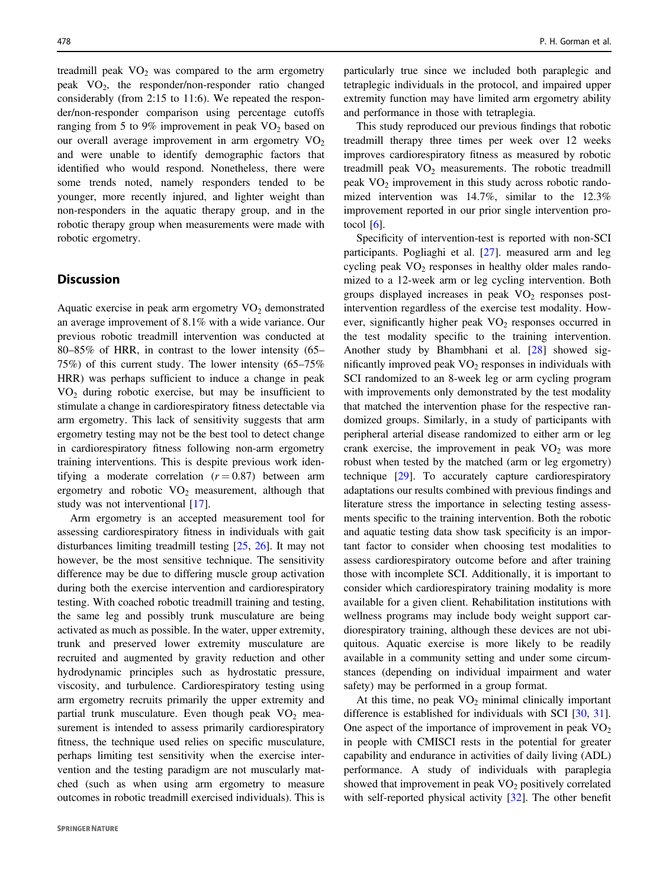treadmill peak  $VO<sub>2</sub>$  was compared to the arm ergometry peak  $VO<sub>2</sub>$ , the responder/non-responder ratio changed considerably (from 2:15 to 11:6). We repeated the responder/non-responder comparison using percentage cutoffs ranging from 5 to 9% improvement in peak  $VO<sub>2</sub>$  based on our overall average improvement in arm ergometry  $VO<sub>2</sub>$ and were unable to identify demographic factors that identified who would respond. Nonetheless, there were some trends noted, namely responders tended to be younger, more recently injured, and lighter weight than non-responders in the aquatic therapy group, and in the robotic therapy group when measurements were made with robotic ergometry.

## **Discussion**

Aquatic exercise in peak arm ergometry  $VO<sub>2</sub>$  demonstrated an average improvement of 8.1% with a wide variance. Our previous robotic treadmill intervention was conducted at 80–85% of HRR, in contrast to the lower intensity (65– 75%) of this current study. The lower intensity (65–75% HRR) was perhaps sufficient to induce a change in peak  $VO<sub>2</sub>$  during robotic exercise, but may be insufficient to stimulate a change in cardiorespiratory fitness detectable via arm ergometry. This lack of sensitivity suggests that arm ergometry testing may not be the best tool to detect change in cardiorespiratory fitness following non-arm ergometry training interventions. This is despite previous work identifying a moderate correlation  $(r = 0.87)$  between arm ergometry and robotic  $VO<sub>2</sub>$  measurement, although that study was not interventional [[17\]](#page-9-0).

Arm ergometry is an accepted measurement tool for assessing cardiorespiratory fitness in individuals with gait disturbances limiting treadmill testing [[25,](#page-9-0) [26\]](#page-9-0). It may not however, be the most sensitive technique. The sensitivity difference may be due to differing muscle group activation during both the exercise intervention and cardiorespiratory testing. With coached robotic treadmill training and testing, the same leg and possibly trunk musculature are being activated as much as possible. In the water, upper extremity, trunk and preserved lower extremity musculature are recruited and augmented by gravity reduction and other hydrodynamic principles such as hydrostatic pressure, viscosity, and turbulence. Cardiorespiratory testing using arm ergometry recruits primarily the upper extremity and partial trunk musculature. Even though peak  $VO<sub>2</sub>$  measurement is intended to assess primarily cardiorespiratory fitness, the technique used relies on specific musculature, perhaps limiting test sensitivity when the exercise intervention and the testing paradigm are not muscularly matched (such as when using arm ergometry to measure outcomes in robotic treadmill exercised individuals). This is particularly true since we included both paraplegic and tetraplegic individuals in the protocol, and impaired upper extremity function may have limited arm ergometry ability and performance in those with tetraplegia.

This study reproduced our previous findings that robotic treadmill therapy three times per week over 12 weeks improves cardiorespiratory fitness as measured by robotic treadmill peak  $VO<sub>2</sub>$  measurements. The robotic treadmill peak  $VO<sub>2</sub>$  improvement in this study across robotic randomized intervention was 14.7%, similar to the 12.3% improvement reported in our prior single intervention protocol [\[6](#page-9-0)].

Specificity of intervention-test is reported with non-SCI participants. Pogliaghi et al. [[27\]](#page-9-0). measured arm and leg cycling peak  $VO<sub>2</sub>$  responses in healthy older males randomized to a 12-week arm or leg cycling intervention. Both groups displayed increases in peak  $VO<sub>2</sub>$  responses postintervention regardless of the exercise test modality. However, significantly higher peak  $VO<sub>2</sub>$  responses occurred in the test modality specific to the training intervention. Another study by Bhambhani et al. [\[28](#page-10-0)] showed significantly improved peak  $VO<sub>2</sub>$  responses in individuals with SCI randomized to an 8-week leg or arm cycling program with improvements only demonstrated by the test modality that matched the intervention phase for the respective randomized groups. Similarly, in a study of participants with peripheral arterial disease randomized to either arm or leg crank exercise, the improvement in peak  $VO<sub>2</sub>$  was more robust when tested by the matched (arm or leg ergometry) technique [\[29](#page-10-0)]. To accurately capture cardiorespiratory adaptations our results combined with previous findings and literature stress the importance in selecting testing assessments specific to the training intervention. Both the robotic and aquatic testing data show task specificity is an important factor to consider when choosing test modalities to assess cardiorespiratory outcome before and after training those with incomplete SCI. Additionally, it is important to consider which cardiorespiratory training modality is more available for a given client. Rehabilitation institutions with wellness programs may include body weight support cardiorespiratory training, although these devices are not ubiquitous. Aquatic exercise is more likely to be readily available in a community setting and under some circumstances (depending on individual impairment and water safety) may be performed in a group format.

At this time, no peak  $VO<sub>2</sub>$  minimal clinically important difference is established for individuals with SCI [[30,](#page-10-0) [31\]](#page-10-0). One aspect of the importance of improvement in peak  $VO<sub>2</sub>$ in people with CMISCI rests in the potential for greater capability and endurance in activities of daily living (ADL) performance. A study of individuals with paraplegia showed that improvement in peak  $VO<sub>2</sub>$  positively correlated with self-reported physical activity [[32\]](#page-10-0). The other benefit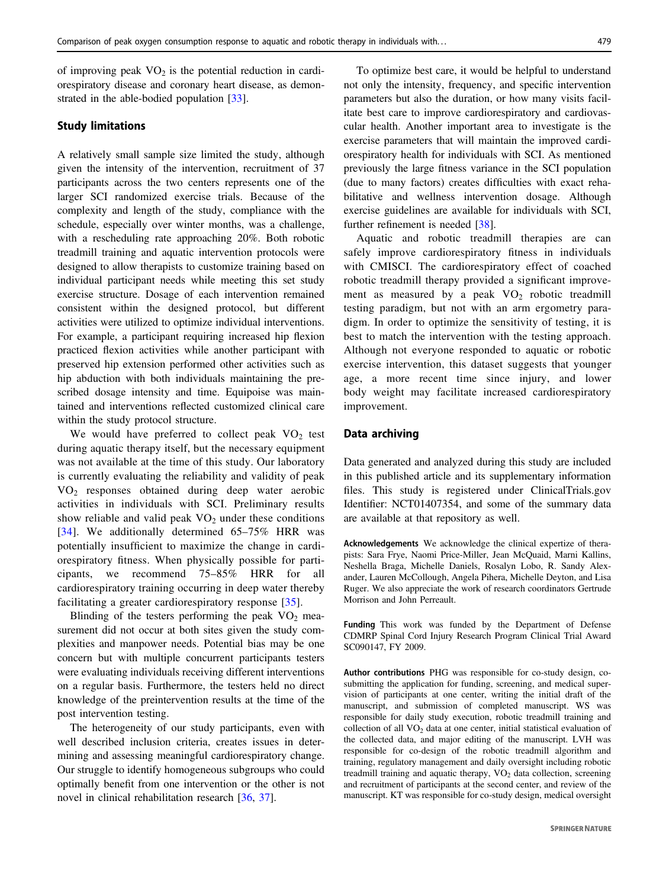of improving peak  $VO<sub>2</sub>$  is the potential reduction in cardiorespiratory disease and coronary heart disease, as demon-strated in the able-bodied population [[33\]](#page-10-0).

## Study limitations

A relatively small sample size limited the study, although given the intensity of the intervention, recruitment of 37 participants across the two centers represents one of the larger SCI randomized exercise trials. Because of the complexity and length of the study, compliance with the schedule, especially over winter months, was a challenge, with a rescheduling rate approaching 20%. Both robotic treadmill training and aquatic intervention protocols were designed to allow therapists to customize training based on individual participant needs while meeting this set study exercise structure. Dosage of each intervention remained consistent within the designed protocol, but different activities were utilized to optimize individual interventions. For example, a participant requiring increased hip flexion practiced flexion activities while another participant with preserved hip extension performed other activities such as hip abduction with both individuals maintaining the prescribed dosage intensity and time. Equipoise was maintained and interventions reflected customized clinical care within the study protocol structure.

We would have preferred to collect peak  $VO<sub>2</sub>$  test during aquatic therapy itself, but the necessary equipment was not available at the time of this study. Our laboratory is currently evaluating the reliability and validity of peak VO2 responses obtained during deep water aerobic activities in individuals with SCI. Preliminary results show reliable and valid peak  $VO<sub>2</sub>$  under these conditions [\[34\]](#page-10-0). We additionally determined 65–75% HRR was potentially insufficient to maximize the change in cardiorespiratory fitness. When physically possible for participants, we recommend 75–85% HRR for all cardiorespiratory training occurring in deep water thereby facilitating a greater cardiorespiratory response [[35](#page-10-0)].

Blinding of the testers performing the peak  $VO<sub>2</sub>$  measurement did not occur at both sites given the study complexities and manpower needs. Potential bias may be one concern but with multiple concurrent participants testers were evaluating individuals receiving different interventions on a regular basis. Furthermore, the testers held no direct knowledge of the preintervention results at the time of the post intervention testing.

The heterogeneity of our study participants, even with well described inclusion criteria, creates issues in determining and assessing meaningful cardiorespiratory change. Our struggle to identify homogeneous subgroups who could optimally benefit from one intervention or the other is not novel in clinical rehabilitation research [[36,](#page-10-0) [37\]](#page-10-0).

To optimize best care, it would be helpful to understand not only the intensity, frequency, and specific intervention parameters but also the duration, or how many visits facilitate best care to improve cardiorespiratory and cardiovascular health. Another important area to investigate is the exercise parameters that will maintain the improved cardiorespiratory health for individuals with SCI. As mentioned previously the large fitness variance in the SCI population (due to many factors) creates difficulties with exact rehabilitative and wellness intervention dosage. Although exercise guidelines are available for individuals with SCI, further refinement is needed [\[38](#page-10-0)].

Aquatic and robotic treadmill therapies are can safely improve cardiorespiratory fitness in individuals with CMISCI. The cardiorespiratory effect of coached robotic treadmill therapy provided a significant improvement as measured by a peak  $VO<sub>2</sub>$  robotic treadmill testing paradigm, but not with an arm ergometry paradigm. In order to optimize the sensitivity of testing, it is best to match the intervention with the testing approach. Although not everyone responded to aquatic or robotic exercise intervention, this dataset suggests that younger age, a more recent time since injury, and lower body weight may facilitate increased cardiorespiratory improvement.

## Data archiving

Data generated and analyzed during this study are included in this published article and its supplementary information files. This study is registered under ClinicalTrials.gov Identifier: NCT01407354, and some of the summary data are available at that repository as well.

Acknowledgements We acknowledge the clinical expertize of therapists: Sara Frye, Naomi Price-Miller, Jean McQuaid, Marni Kallins, Neshella Braga, Michelle Daniels, Rosalyn Lobo, R. Sandy Alexander, Lauren McCollough, Angela Pihera, Michelle Deyton, and Lisa Ruger. We also appreciate the work of research coordinators Gertrude Morrison and John Perreault.

Funding This work was funded by the Department of Defense CDMRP Spinal Cord Injury Research Program Clinical Trial Award SC090147, FY 2009.

Author contributions PHG was responsible for co-study design, cosubmitting the application for funding, screening, and medical supervision of participants at one center, writing the initial draft of the manuscript, and submission of completed manuscript. WS was responsible for daily study execution, robotic treadmill training and collection of all  $VO<sub>2</sub>$  data at one center, initial statistical evaluation of the collected data, and major editing of the manuscript. LVH was responsible for co-design of the robotic treadmill algorithm and training, regulatory management and daily oversight including robotic treadmill training and aquatic therapy,  $VO<sub>2</sub>$  data collection, screening and recruitment of participants at the second center, and review of the manuscript. KT was responsible for co-study design, medical oversight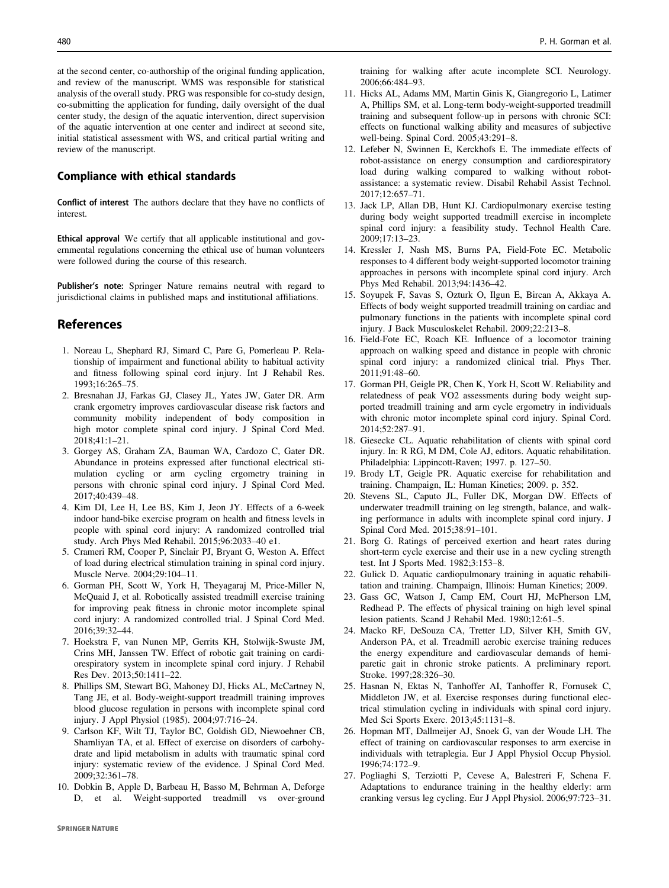<span id="page-9-0"></span>at the second center, co-authorship of the original funding application, and review of the manuscript. WMS was responsible for statistical analysis of the overall study. PRG was responsible for co-study design, co-submitting the application for funding, daily oversight of the dual center study, the design of the aquatic intervention, direct supervision of the aquatic intervention at one center and indirect at second site, initial statistical assessment with WS, and critical partial writing and review of the manuscript.

## Compliance with ethical standards

Conflict of interest The authors declare that they have no conflicts of interest.

Ethical approval We certify that all applicable institutional and governmental regulations concerning the ethical use of human volunteers were followed during the course of this research.

Publisher's note: Springer Nature remains neutral with regard to jurisdictional claims in published maps and institutional affiliations.

## References

- 1. Noreau L, Shephard RJ, Simard C, Pare G, Pomerleau P. Relationship of impairment and functional ability to habitual activity and fitness following spinal cord injury. Int J Rehabil Res. 1993;16:265–75.
- 2. Bresnahan JJ, Farkas GJ, Clasey JL, Yates JW, Gater DR. Arm crank ergometry improves cardiovascular disease risk factors and community mobility independent of body composition in high motor complete spinal cord injury. J Spinal Cord Med. 2018;41:1–21.
- 3. Gorgey AS, Graham ZA, Bauman WA, Cardozo C, Gater DR. Abundance in proteins expressed after functional electrical stimulation cycling or arm cycling ergometry training in persons with chronic spinal cord injury. J Spinal Cord Med. 2017;40:439–48.
- 4. Kim DI, Lee H, Lee BS, Kim J, Jeon JY. Effects of a 6-week indoor hand-bike exercise program on health and fitness levels in people with spinal cord injury: A randomized controlled trial study. Arch Phys Med Rehabil. 2015;96:2033–40 e1.
- 5. Crameri RM, Cooper P, Sinclair PJ, Bryant G, Weston A. Effect of load during electrical stimulation training in spinal cord injury. Muscle Nerve. 2004;29:104–11.
- 6. Gorman PH, Scott W, York H, Theyagaraj M, Price-Miller N, McQuaid J, et al. Robotically assisted treadmill exercise training for improving peak fitness in chronic motor incomplete spinal cord injury: A randomized controlled trial. J Spinal Cord Med. 2016;39:32–44.
- 7. Hoekstra F, van Nunen MP, Gerrits KH, Stolwijk-Swuste JM, Crins MH, Janssen TW. Effect of robotic gait training on cardiorespiratory system in incomplete spinal cord injury. J Rehabil Res Dev. 2013;50:1411–22.
- 8. Phillips SM, Stewart BG, Mahoney DJ, Hicks AL, McCartney N, Tang JE, et al. Body-weight-support treadmill training improves blood glucose regulation in persons with incomplete spinal cord injury. J Appl Physiol (1985). 2004;97:716–24.
- 9. Carlson KF, Wilt TJ, Taylor BC, Goldish GD, Niewoehner CB, Shamliyan TA, et al. Effect of exercise on disorders of carbohydrate and lipid metabolism in adults with traumatic spinal cord injury: systematic review of the evidence. J Spinal Cord Med. 2009;32:361–78.
- 10. Dobkin B, Apple D, Barbeau H, Basso M, Behrman A, Deforge D, et al. Weight-supported treadmill vs over-ground

training for walking after acute incomplete SCI. Neurology. 2006;66:484–93.

- 11. Hicks AL, Adams MM, Martin Ginis K, Giangregorio L, Latimer A, Phillips SM, et al. Long-term body-weight-supported treadmill training and subsequent follow-up in persons with chronic SCI: effects on functional walking ability and measures of subjective well-being. Spinal Cord. 2005;43:291–8.
- 12. Lefeber N, Swinnen E, Kerckhofs E. The immediate effects of robot-assistance on energy consumption and cardiorespiratory load during walking compared to walking without robotassistance: a systematic review. Disabil Rehabil Assist Technol. 2017;12:657–71.
- 13. Jack LP, Allan DB, Hunt KJ. Cardiopulmonary exercise testing during body weight supported treadmill exercise in incomplete spinal cord injury: a feasibility study. Technol Health Care. 2009;17:13–23.
- 14. Kressler J, Nash MS, Burns PA, Field-Fote EC. Metabolic responses to 4 different body weight-supported locomotor training approaches in persons with incomplete spinal cord injury. Arch Phys Med Rehabil. 2013;94:1436–42.
- 15. Soyupek F, Savas S, Ozturk O, Ilgun E, Bircan A, Akkaya A. Effects of body weight supported treadmill training on cardiac and pulmonary functions in the patients with incomplete spinal cord injury. J Back Musculoskelet Rehabil. 2009;22:213–8.
- 16. Field-Fote EC, Roach KE. Influence of a locomotor training approach on walking speed and distance in people with chronic spinal cord injury: a randomized clinical trial. Phys Ther. 2011;91:48–60.
- 17. Gorman PH, Geigle PR, Chen K, York H, Scott W. Reliability and relatedness of peak VO2 assessments during body weight supported treadmill training and arm cycle ergometry in individuals with chronic motor incomplete spinal cord injury. Spinal Cord. 2014;52:287–91.
- 18. Giesecke CL. Aquatic rehabilitation of clients with spinal cord injury. In: R RG, M DM, Cole AJ, editors. Aquatic rehabilitation. Philadelphia: Lippincott-Raven; 1997. p. 127–50.
- 19. Brody LT, Geigle PR. Aquatic exercise for rehabilitation and training. Champaign, IL: Human Kinetics; 2009. p. 352.
- 20. Stevens SL, Caputo JL, Fuller DK, Morgan DW. Effects of underwater treadmill training on leg strength, balance, and walking performance in adults with incomplete spinal cord injury. J Spinal Cord Med. 2015;38:91–101.
- 21. Borg G. Ratings of perceived exertion and heart rates during short-term cycle exercise and their use in a new cycling strength test. Int J Sports Med. 1982;3:153–8.
- 22. Gulick D. Aquatic cardiopulmonary training in aquatic rehabilitation and training. Champaign, Illinois: Human Kinetics; 2009.
- 23. Gass GC, Watson J, Camp EM, Court HJ, McPherson LM, Redhead P. The effects of physical training on high level spinal lesion patients. Scand J Rehabil Med. 1980;12:61–5.
- 24. Macko RF, DeSouza CA, Tretter LD, Silver KH, Smith GV, Anderson PA, et al. Treadmill aerobic exercise training reduces the energy expenditure and cardiovascular demands of hemiparetic gait in chronic stroke patients. A preliminary report. Stroke. 1997;28:326–30.
- 25. Hasnan N, Ektas N, Tanhoffer AI, Tanhoffer R, Fornusek C, Middleton JW, et al. Exercise responses during functional electrical stimulation cycling in individuals with spinal cord injury. Med Sci Sports Exerc. 2013;45:1131–8.
- 26. Hopman MT, Dallmeijer AJ, Snoek G, van der Woude LH. The effect of training on cardiovascular responses to arm exercise in individuals with tetraplegia. Eur J Appl Physiol Occup Physiol. 1996;74:172–9.
- 27. Pogliaghi S, Terziotti P, Cevese A, Balestreri F, Schena F. Adaptations to endurance training in the healthy elderly: arm cranking versus leg cycling. Eur J Appl Physiol. 2006;97:723–31.